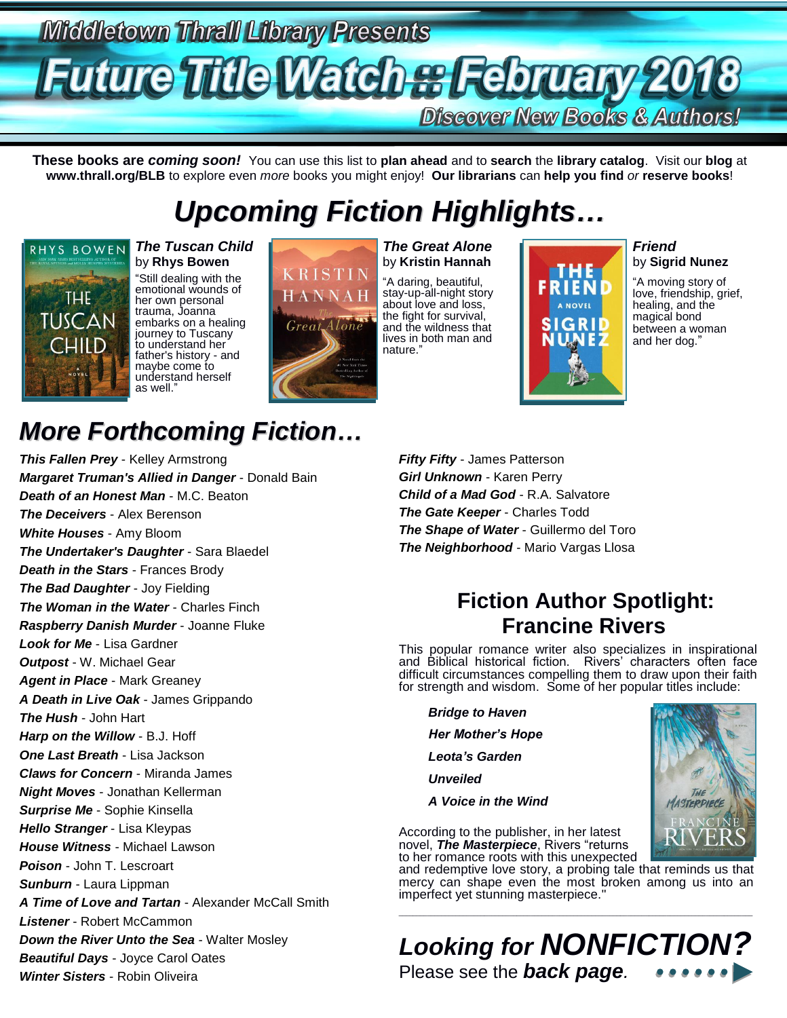# **Middletown Thrall Library Presents Future Title Watch as February 2018 Discover New Books & Authors!**

**These books are** *coming soon!* You can use this list to **plan ahead** and to **search** the **library catalog**. Visit our **blog** at **www.thrall.org/BLB** to explore even *more* books you might enjoy! **Our librarians** can **help you find** *or* **reserve books**!

# *Upcoming Fiction Highlights…*



#### *The Tuscan Child* by **Rhys Bowen**

"Still dealing with the emotional wounds of her own personal trauma, Joanna embarks on a healing journey to Tuscany to understand her father's history - and maybe come to understand herself as well."



*The Great Alone* by **Kristin Hannah** "A daring, beautiful, stay-up-all-night story



*Friend* by **Sigrid Nunez**

"A moving story of love, friendship, grief, healing, and the magical bond between a woman and her dog."

ASTERPIECE

## *More Forthcoming Fiction…*

*This Fallen Prey* - Kelley Armstrong *Margaret Truman's Allied in Danger* - Donald Bain *Death of an Honest Man* - M.C. Beaton *The Deceivers* - Alex Berenson *White Houses* - Amy Bloom *The Undertaker's Daughter* - Sara Blaedel *Death in the Stars* - Frances Brody *The Bad Daughter* - Joy Fielding *The Woman in the Water* - Charles Finch *Raspberry Danish Murder* - Joanne Fluke *Look for Me* - Lisa Gardner *Outpost* - W. Michael Gear *Agent in Place* - Mark Greaney *A Death in Live Oak* - James Grippando *The Hush* - John Hart *Harp on the Willow* - B.J. Hoff *One Last Breath* - Lisa Jackson *Claws for Concern* - Miranda James *Night Moves* - Jonathan Kellerman *Surprise Me* - Sophie Kinsella *Hello Stranger* - Lisa Kleypas *House Witness* - Michael Lawson *Poison* - John T. Lescroart *Sunburn* - Laura Lippman *A Time of Love and Tartan* - Alexander McCall Smith *Listener* - Robert McCammon *Down the River Unto the Sea* - Walter Mosley *Beautiful Days* - Joyce Carol Oates *Winter Sisters* - Robin Oliveira

*Fifty Fifty* - James Patterson *Girl Unknown* - Karen Perry *Child of a Mad God* - R.A. Salvatore *The Gate Keeper* - Charles Todd *The Shape of Water* - Guillermo del Toro *The Neighborhood* - Mario Vargas Llosa

### **Fiction Author Spotlight: Francine Rivers**

This popular romance writer also specializes in inspirational and Biblical historical fiction. Rivers' characters often face difficult circumstances compelling them to draw upon their faith for strength and wisdom. Some of her popular titles include:

*Bridge to Haven*

*Her Mother's Hope*

*Leota's Garden*

*Unveiled*

*A Voice in the Wind*

According to the publisher, in her latest novel, *The Masterpiece*, Rivers "returns

to her romance roots with this unexpected and redemptive love story, a probing tale that reminds us that mercy can shape even the most broken among us into an imperfect yet stunning masterpiece.

\_\_\_\_\_\_\_\_\_\_\_\_\_\_\_\_\_\_\_\_\_\_\_\_\_\_\_\_\_\_\_\_\_\_\_\_\_\_\_\_\_\_\_\_\_\_\_\_\_\_\_\_\_\_\_\_\_\_\_\_\_\_\_\_\_\_\_\_\_\_\_\_\_\_\_\_\_\_\_\_\_\_\_\_\_\_\_\_\_\_\_\_\_\_\_\_\_\_\_